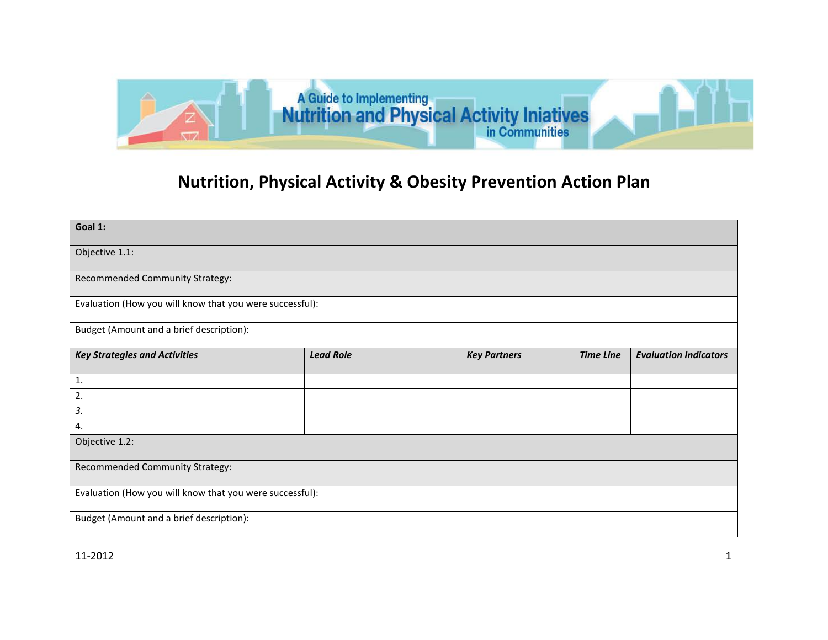

## **Nutrition, Physical Activity & Obesity Prevention Action Plan**

| Goal 1:                                                  |                  |                     |                  |                              |  |
|----------------------------------------------------------|------------------|---------------------|------------------|------------------------------|--|
| Objective 1.1:                                           |                  |                     |                  |                              |  |
| Recommended Community Strategy:                          |                  |                     |                  |                              |  |
| Evaluation (How you will know that you were successful): |                  |                     |                  |                              |  |
| Budget (Amount and a brief description):                 |                  |                     |                  |                              |  |
| <b>Key Strategies and Activities</b>                     | <b>Lead Role</b> | <b>Key Partners</b> | <b>Time Line</b> | <b>Evaluation Indicators</b> |  |
| 1.                                                       |                  |                     |                  |                              |  |
| 2.                                                       |                  |                     |                  |                              |  |
| 3.                                                       |                  |                     |                  |                              |  |
| 4.                                                       |                  |                     |                  |                              |  |
| Objective 1.2:                                           |                  |                     |                  |                              |  |
| Recommended Community Strategy:                          |                  |                     |                  |                              |  |
| Evaluation (How you will know that you were successful): |                  |                     |                  |                              |  |
| Budget (Amount and a brief description):                 |                  |                     |                  |                              |  |

11-2012 1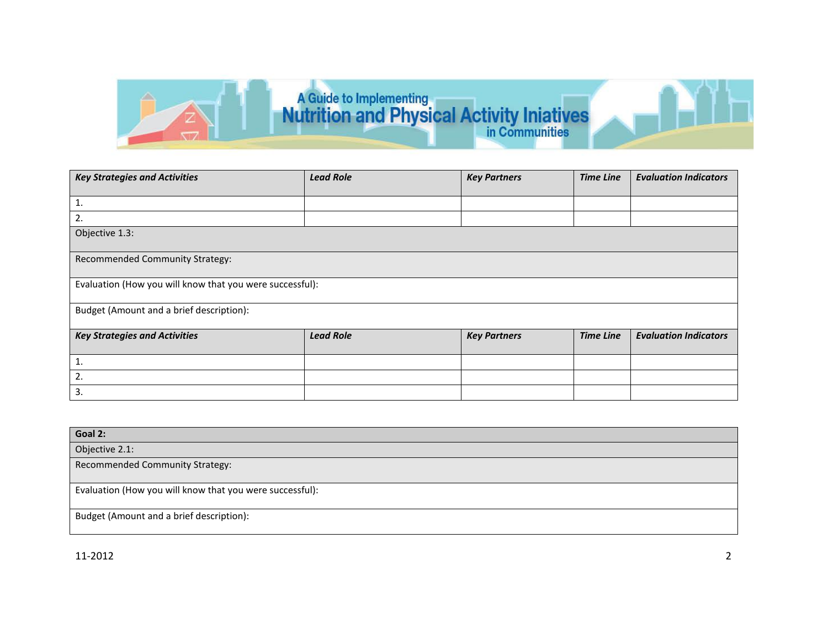

| <b>Key Strategies and Activities</b>                     | <b>Lead Role</b> | <b>Key Partners</b> | <b>Time Line</b> | <b>Evaluation Indicators</b> |  |
|----------------------------------------------------------|------------------|---------------------|------------------|------------------------------|--|
| 1.                                                       |                  |                     |                  |                              |  |
| 2.                                                       |                  |                     |                  |                              |  |
| Objective 1.3:                                           |                  |                     |                  |                              |  |
| Recommended Community Strategy:                          |                  |                     |                  |                              |  |
| Evaluation (How you will know that you were successful): |                  |                     |                  |                              |  |
| Budget (Amount and a brief description):                 |                  |                     |                  |                              |  |
| <b>Key Strategies and Activities</b>                     | <b>Lead Role</b> | <b>Key Partners</b> | <b>Time Line</b> | <b>Evaluation Indicators</b> |  |
| 1.                                                       |                  |                     |                  |                              |  |
| 2.                                                       |                  |                     |                  |                              |  |
| 3.                                                       |                  |                     |                  |                              |  |

| Goal 2:                                                  |
|----------------------------------------------------------|
| Objective 2.1:                                           |
| Recommended Community Strategy:                          |
| Evaluation (How you will know that you were successful): |
| Budget (Amount and a brief description):                 |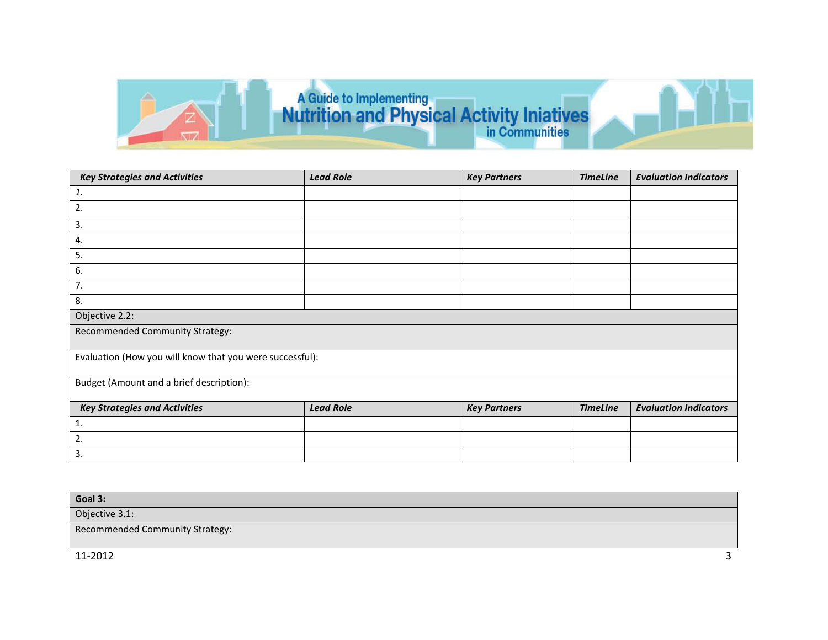

| <b>Key Strategies and Activities</b>                     | <b>Lead Role</b> | <b>Key Partners</b> | <b>TimeLine</b> | <b>Evaluation Indicators</b> |  |
|----------------------------------------------------------|------------------|---------------------|-----------------|------------------------------|--|
| 1.                                                       |                  |                     |                 |                              |  |
| 2.                                                       |                  |                     |                 |                              |  |
| 3.                                                       |                  |                     |                 |                              |  |
| 4.                                                       |                  |                     |                 |                              |  |
| 5.                                                       |                  |                     |                 |                              |  |
| 6.                                                       |                  |                     |                 |                              |  |
| 7.                                                       |                  |                     |                 |                              |  |
| 8.                                                       |                  |                     |                 |                              |  |
| Objective 2.2:                                           |                  |                     |                 |                              |  |
| Recommended Community Strategy:                          |                  |                     |                 |                              |  |
| Evaluation (How you will know that you were successful): |                  |                     |                 |                              |  |
| Budget (Amount and a brief description):                 |                  |                     |                 |                              |  |
| <b>Key Strategies and Activities</b>                     | <b>Lead Role</b> | <b>Key Partners</b> | <b>TimeLine</b> | <b>Evaluation Indicators</b> |  |
| 1.                                                       |                  |                     |                 |                              |  |
| 2.                                                       |                  |                     |                 |                              |  |
| 3.                                                       |                  |                     |                 |                              |  |

| Goal 3:                         |                   |
|---------------------------------|-------------------|
| Objective 3.1:                  |                   |
| Recommended Community Strategy: |                   |
| 11-2012                         | $\mathbf{\Omega}$ |